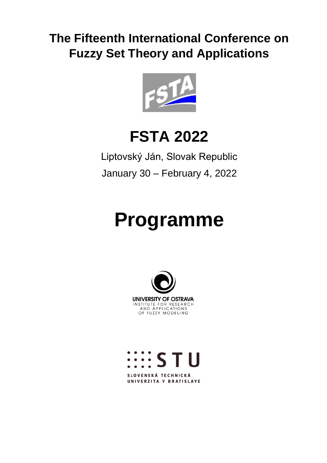# **The Fifteenth International Conference on Fuzzy Set Theory and Applications**



# **FSTA 2022**

Liptovský Ján, Slovak Republic January 30 – February 4, 2022

# **Programme**





UNIVERZITA V BRATISLAVE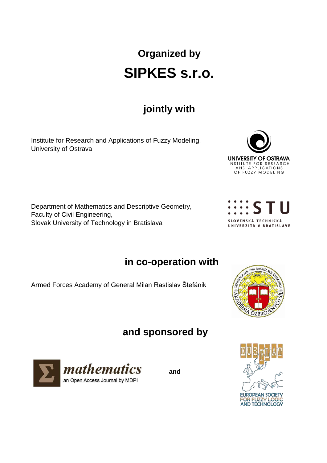# **Organized by SIPKES s.r.o.**

# **jointly with**

Institute for Research and Applications of Fuzzy Modeling, University of Ostrava

Department of Mathematics and Descriptive Geometry, Faculty of Civil Engineering, Slovak University of Technology in Bratislava





# **in co-operation with**

Armed Forces Academy of General Milan Rastislav Štefánik



# **and sponsored by**



**and**

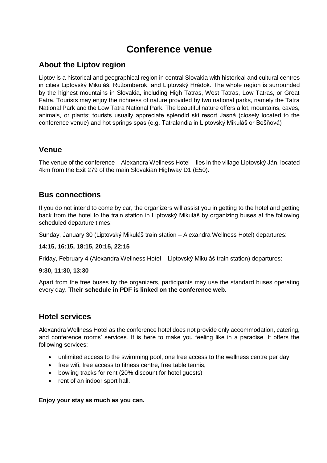# **Conference venue**

### **About the Liptov region**

Liptov is a historical and geographical region in central Slovakia with historical and cultural centres in cities Liptovský Mikuláš, Ružomberok, and Liptovský Hrádok. The whole region is surrounded by the highest mountains in Slovakia, including High Tatras, West Tatras, Low Tatras, or Great Fatra. Tourists may enjoy the richness of nature provided by two national parks, namely the Tatra National Park and the Low Tatra National Park. The beautiful nature offers a lot, mountains, caves, animals, or plants; tourists usually appreciate splendid ski resort Jasná (closely located to the conference venue) and hot springs spas (e.g. Tatralandia in Liptovský Mikuláš or Bešňová)

#### **Venue**

The venue of the conference – Alexandra Wellness Hotel – lies in the village Liptovský Ján, located 4km from the Exit 279 of the main Slovakian Highway D1 (E50).

#### **Bus connections**

If you do not intend to come by car, the organizers will assist you in getting to the hotel and getting back from the hotel to the train station in Liptovský Mikuláš by organizing buses at the following scheduled departure times:

Sunday, January 30 (Liptovský Mikuláš train station – Alexandra Wellness Hotel) departures:

#### **14:15, 16:15, 18:15, 20:15, 22:15**

Friday, February 4 (Alexandra Wellness Hotel – Liptovský Mikuláš train station) departures:

#### **9:30, 11:30, 13:30**

Apart from the free buses by the organizers, participants may use the standard buses operating every day. **Their schedule in PDF is linked on the conference web.**

#### **Hotel services**

Alexandra Wellness Hotel as the conference hotel does not provide only accommodation, catering, and conference rooms' services. It is here to make you feeling like in a paradise. It offers the following services:

- unlimited access to the swimming pool, one free access to the wellness centre per day,
- free wifi, free access to fitness centre, free table tennis,
- bowling tracks for rent (20% discount for hotel quests)
- rent of an indoor sport hall.

#### **Enjoy your stay as much as you can.**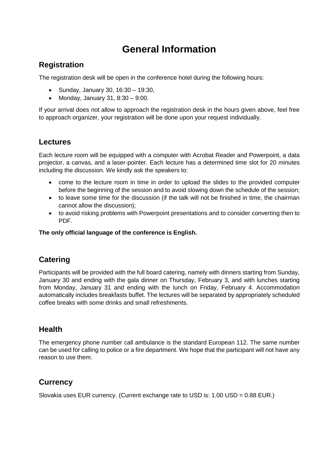# **General Information**

## **Registration**

The registration desk will be open in the conference hotel during the following hours:

- $\bullet$  Sunday, January 30, 16:30 19:30,
- Monday, January 31,  $8:30 9:00$ .

If your arrival does not allow to approach the registration desk in the hours given above, feel free to approach organizer, your registration will be done upon your request individually.

#### **Lectures**

Each lecture room will be equipped with a computer with Acrobat Reader and Powerpoint, a data projector, a canvas, and a laser-pointer. Each lecture has a determined time slot for 20 minutes including the discussion. We kindly ask the speakers to:

- come to the lecture room in time in order to upload the slides to the provided computer before the beginning of the session and to avoid slowing down the schedule of the session;
- to leave some time for the discussion (if the talk will not be finished in time, the chairman cannot allow the discussion);
- to avoid risking problems with Powerpoint presentations and to consider converting then to PDF.

#### **The only official language of the conference is English.**

## **Catering**

Participants will be provided with the full board catering, namely with dinners starting from Sunday, January 30 and ending with the gala dinner on Thursday, February 3, and with lunches starting from Monday, January 31 and ending with the lunch on Friday, February 4. Accommodation automatically includes breakfasts buffet. The lectures will be separated by appropriately scheduled coffee breaks with some drinks and small refreshments.

## **Health**

The emergency phone number call ambulance is the standard European 112. The same number can be used for calling to police or a fire department. We hope that the participant will not have any reason to use them.

## **Currency**

Slovakia uses EUR currency. (Current exchange rate to USD is: 1.00 USD = 0.88 EUR.)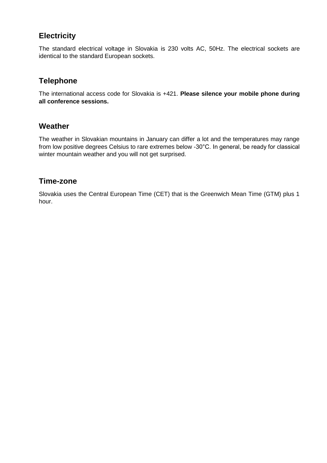## **Electricity**

The standard electrical voltage in Slovakia is 230 volts AC, 50Hz. The electrical sockets are identical to the standard European sockets.

## **Telephone**

The international access code for Slovakia is +421. **Please silence your mobile phone during all conference sessions.**

#### **Weather**

The weather in Slovakian mountains in January can differ a lot and the temperatures may range from low positive degrees Celsius to rare extremes below -30°C. In general, be ready for classical winter mountain weather and you will not get surprised.

#### **Time-zone**

Slovakia uses the Central European Time (CET) that is the Greenwich Mean Time (GTM) plus 1 hour.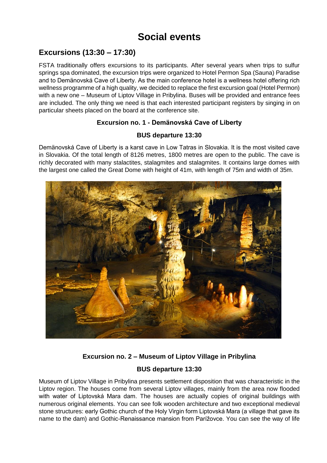# **Social events**

## **Excursions (13:30 – 17:30)**

FSTA traditionally offers excursions to its participants. After several years when trips to sulfur springs spa dominated, the excursion trips were organized to Hotel Permon Spa (Sauna) Paradise and to Demänovská Cave of Liberty. As the main conference hotel is a wellness hotel offering rich wellness programme of a high quality, we decided to replace the first excursion goal (Hotel Permon) with a new one – Museum of Liptov Village in Pribylina. Buses will be provided and entrance fees are included. The only thing we need is that each interested participant registers by singing in on particular sheets placed on the board at the conference site.

#### **Excursion no. 1 - Demänovská Cave of Liberty**

#### **BUS departure 13:30**

Demänovská Cave of Liberty is a karst cave in Low Tatras in Slovakia. It is the most visited cave in Slovakia. Of the total length of 8126 metres, 1800 metres are open to the public. The cave is richly decorated with many stalactites, stalagmites and stalagmites. It contains large domes with the largest one called the Great Dome with height of 41m, with length of 75m and width of 35m.



#### **Excursion no. 2 – Museum of Liptov Village in Pribylina**

#### **BUS departure 13:30**

Museum of Liptov Village in Pribylina presents settlement disposition that was characteristic in the Liptov region. The houses come from several Liptov villages, mainly from the area now flooded with water of Liptovská Mara dam. The houses are actually copies of original buildings with numerous original elements. You can see folk wooden architecture and two exceptional medieval stone structures: early Gothic church of the Holy Virgin form Liptovská Mara (a village that gave its name to the dam) and Gothic-Renaissance mansion from Parížovce. You can see the way of life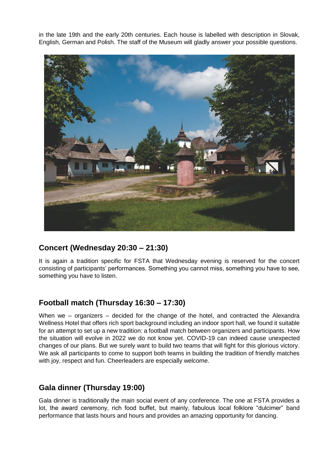in the late 19th and the early 20th centuries. Each house is labelled with description in Slovak, English, German and Polish. The staff of the Museum will gladly answer your possible questions.



## **Concert (Wednesday 20:30 – 21:30)**

It is again a tradition specific for FSTA that Wednesday evening is reserved for the concert consisting of participants' performances. Something you cannot miss, something you have to see, something you have to listen.

## **Football match (Thursday 16:30 – 17:30)**

When we – organizers – decided for the change of the hotel, and contracted the Alexandra Wellness Hotel that offers rich sport background including an indoor sport hall, we found it suitable for an attempt to set up a new tradition: a football match between organizers and participants. How the situation will evolve in 2022 we do not know yet. COVID-19 can indeed cause unexpected changes of our plans. But we surely want to build two teams that will fight for this glorious victory. We ask all participants to come to support both teams in building the tradition of friendly matches with joy, respect and fun. Cheerleaders are especially welcome.

## **Gala dinner (Thursday 19:00)**

Gala dinner is traditionally the main social event of any conference. The one at FSTA provides a lot, the award ceremony, rich food buffet, but mainly, fabulous local folklore "dulcimer" band performance that lasts hours and hours and provides an amazing opportunity for dancing.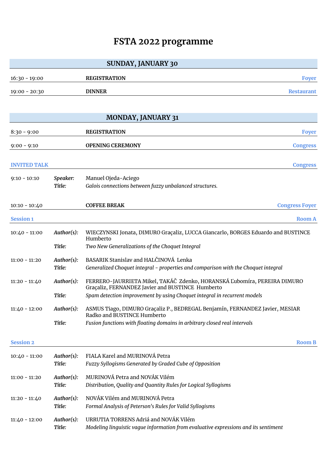# **FSTA 2022 programme**

|                     |            | <b>SUNDAY, JANUARY 30</b>                                                                                                    |                       |
|---------------------|------------|------------------------------------------------------------------------------------------------------------------------------|-----------------------|
| $16:30 - 19:00$     |            | <b>REGISTRATION</b>                                                                                                          | <b>Foyer</b>          |
| $19:00 - 20:30$     |            | <b>DINNER</b>                                                                                                                | <b>Restaurant</b>     |
|                     |            |                                                                                                                              |                       |
|                     |            | <b>MONDAY, JANUARY 31</b>                                                                                                    |                       |
| $8:30 - 9:00$       |            | <b>REGISTRATION</b>                                                                                                          | <b>Foyer</b>          |
| $9:00 - 9:10$       |            | <b>OPENING CEREMONY</b>                                                                                                      | <b>Congress</b>       |
| <b>INVITED TALK</b> |            |                                                                                                                              | <b>Congress</b>       |
| $9:10 - 10:10$      | Speaker:   | Manuel Ojeda-Aciego                                                                                                          |                       |
|                     | Title:     | Galois connections between fuzzy unbalanced structures.                                                                      |                       |
| $10:10 - 10:40$     |            | <b>COFFEE BREAK</b>                                                                                                          | <b>Congress Foyer</b> |
| <b>Session 1</b>    |            |                                                                                                                              | <b>Room A</b>         |
| $10:40 - 11:00$     | Author(s): | WIECZYNSKI Jonata, DIMURO Graçaliz, LUCCA Giancarlo, BORGES Eduardo and BUSTINCE<br>Humberto                                 |                       |
|                     | Title:     | Two New Generalizations of the Choquet Integral                                                                              |                       |
| $11:00 - 11:20$     | Author(s): | BASARIK Stanislav and HALČINOVÁ Lenka                                                                                        |                       |
|                     | Title:     | Generalized Choquet integral - properties and comparison with the Choquet integral                                           |                       |
| $11:20 - 11:40$     | Author(s): | FERRERO-JAURRIETA Mikel, TAKÁČ Zdenko, HORANSKÁ Ľubomíra, PEREIRA DIMURO<br>Graçaliz, FERNANDEZ Javier and BUSTINCE Humberto |                       |
|                     | Title:     | Spam detection improvement by using Choquet integral in recurrent models                                                     |                       |
| $11:40 - 12:00$     | Author(s): | ASMUS Tiago, DIMURO Graçaliz P., BEDREGAL Benjamín, FERNANDEZ Javier, MESIAR<br>Radko and BUSTINCE Humberto                  |                       |
|                     | Title:     | Fusion functions with floating domains in arbitrary closed real intervals                                                    |                       |
| <b>Session 2</b>    |            |                                                                                                                              | <b>Room B</b>         |
| $10:40 - 11:00$     | Author(s): | FIALA Karel and MURINOVÁ Petra                                                                                               |                       |
|                     | Title:     | Fuzzy Syllogisms Generated by Graded Cube of Opposition                                                                      |                       |
| $11:00 - 11:20$     | Author(s): | MURINOVÁ Petra and NOVÁK Vilém                                                                                               |                       |
|                     | Title:     | Distribution, Quality and Quantity Rules for Logical Syllogisms                                                              |                       |
| $11:20 - 11:40$     | Author(s): | NOVÁK Vilém and MURINOVÁ Petra                                                                                               |                       |
|                     | Title:     | Formal Analysis of Peterson's Rules for Valid Syllogisms                                                                     |                       |
| $11:40 - 12:00$     | Author(s): | URRUTIA TORRENS Adriá and NOVÁK Vilém                                                                                        |                       |
|                     | Title:     | Modeling linguistic vague information from evaluative expressions and its sentiment                                          |                       |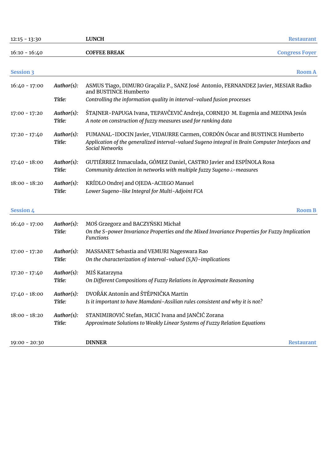| $12:15 - 13:30$  |                      | <b>LUNCH</b>                                                                                                                                                                                            | <b>Restaurant</b>     |
|------------------|----------------------|---------------------------------------------------------------------------------------------------------------------------------------------------------------------------------------------------------|-----------------------|
| $16:10 - 16:40$  |                      | <b>COFFEE BREAK</b>                                                                                                                                                                                     | <b>Congress Foyer</b> |
| <b>Session 3</b> |                      |                                                                                                                                                                                                         | <b>Room A</b>         |
| $16:40 - 17:00$  | Author(s):           | ASMUS Tiago, DIMURO Graçaliz P., SANZ José Antonio, FERNANDEZ Javier, MESIAR Radko<br>and BUSTINCE Humberto                                                                                             |                       |
|                  | Title:               | Controlling the information quality in interval-valued fusion processes                                                                                                                                 |                       |
| $17:00 - 17:20$  | Author(s):<br>Title: | ŠTAJNER-PAPUGA Ivana, TEPAVČEVIĆ Andreja, CORNEJO M. Eugenia and MEDINA Jesús<br>A note on construction of fuzzy measures used for ranking data                                                         |                       |
| $17:20 - 17:40$  | Author(s):<br>Title: | FUMANAL-IDOCIN Javier, VIDAURRE Carmen, CORDÓN Óscar and BUSTINCE Humberto<br>Application of the generalized interval-valued Sugeno integral in Brain Computer Interfaces and<br><b>Social Networks</b> |                       |
| $17:40 - 18:00$  | Author(s):<br>Title: | GUTIÉRREZ Inmaculada, GÓMEZ Daniel, CASTRO Javier and ESPÍNOLA Rosa<br>Community detection in networks with multiple fuzzy Sugeno $\lambda$ -measures                                                   |                       |
| $18:00 - 18:20$  | Author(s):<br>Title: | KRÍDLO Ondrej and OJEDA-ACIEGO Manuel<br>Lower Sugeno-like Integral for Multi-Adjoint FCA                                                                                                               |                       |
| <b>Session 4</b> |                      |                                                                                                                                                                                                         | <b>Room B</b>         |
| $16:40 - 17:00$  | Author(s):<br>Title: | MOŚ Grzegorz and BACZYŃSKI Michał<br>On the S-power Invariance Properties and the Mixed Invariance Properties for Fuzzy Implication<br><b>Functions</b>                                                 |                       |
| $17:00 - 17:20$  | Author(s):<br>Title: | MASSANET Sebastia and VEMURI Nageswara Rao<br>On the characterization of interval-valued $(S, N)$ -implications                                                                                         |                       |
| $17:20 - 17:40$  | Author(s):<br>Title: | MIŚ Katarzyna<br>On Different Compositions of Fuzzy Relations in Approximate Reasoning                                                                                                                  |                       |
| $17:40 - 18:00$  | Author(s):<br>Title: | DVOŘÁK Antonín and ŠTĚPNIČKA Martin<br>Is it important to have Mamdani-Assilian rules consistent and why it is not?                                                                                     |                       |
| $18:00 - 18:20$  | Author(s):<br>Title: | STANIMIROVIĆ Stefan, MICIĆ Ivana and JANČIĆ Zorana<br>Approximate Solutions to Weakly Linear Systems of Fuzzy Relation Equations                                                                        |                       |
| $19:00 - 20:30$  |                      | <b>DINNER</b>                                                                                                                                                                                           | <b>Restaurant</b>     |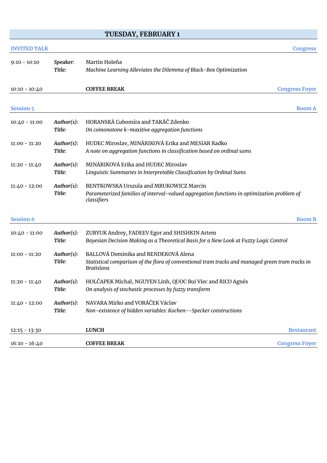#### **TUESDAY, FEBRUARY 1**

# **INVITED TALK Congress** 9:10 - 10:10 *Speaker:* Martin Holeňa *Title: Machine Learning Alleviates the Dilemma of Black-Box Optimization* 10:10 - 10:40 **COFFEE BREAK Congress Foyer Session 5 Room A** 10:40 - 11:00 *Author(s):* HORANSKÁ Ľubomíra and TAKÁČ Zdenko *Title: On comonotone k-maxitive aggregation functions* 11:00 - 11:20 *Author(s):* HUDEC Miroslav, MINÁRIKOVÁ Erika and MESIAR Radko *Title: A note on aggregation functions in classification based on ordinal sums* 11:20 - 11:40 *Author(s):* MINÁRIKOVÁ Erika and HUDEC Miroslav *Title: Linguistic Summaries in Interpretable Classification by Ordinal Sums* 11:40 - 12:00 *Author(s):* BENTKOWSKA Urszula and MRUKOWICZ Marcin *Title: Parameterized families of interval-valued aggregation functions in optimization problem of classifiers* **Session 6 Room B** 10:40 - 11:00 *Author(s):* ZUBYUK Andrey, FADEEV Egor and SHISHKIN Artem *Title: Bayesian Decision Making as a Theoretical Basis for a New Look at Fuzzy Logic Control* 11:00 - 11:20 *Author(s):* BALLOVÁ Dominika and RENDEKOVÁ Alena *Title: Statistical comparison of the flora of conventional tram tracks and managed green tram tracks in Bratislava* 11:20 - 11:40 *Author(s):* HOLČAPEK Michal, NGUYEN Linh, QUOC Bui Viec and RICO Agnés *Title: On analysis of stochastic processes by fuzzy transform* 11:40 - 12:00 *Author(s):* NAVARA Mirko and VORÁČEK Václav *Title: Non-existence of hidden variables: Kochen--Specker constructions* 12:15 - 13:30 **LUNCH Restaurant** 16:10 - 16:40 **COFFEE BREAK Congress Foyer**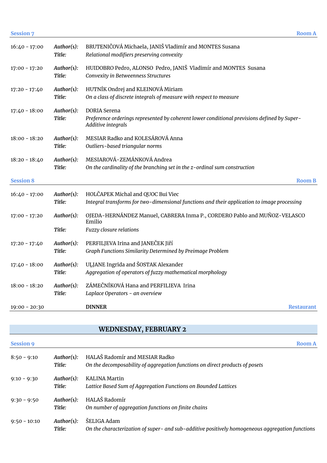| <b>Session 7</b> |                      |                                                                                                                                          | <b>Room A</b> |
|------------------|----------------------|------------------------------------------------------------------------------------------------------------------------------------------|---------------|
| $16:40 - 17:00$  | Author(s):<br>Title: | BRUTENIČOVÁ Michaela, JANIŠ Vladimír and MONTES Susana<br>Relational modifiers preserving convexity                                      |               |
| $17:00 - 17:20$  | Author(s):<br>Title: | HUIDOBRO Pedro, ALONSO Pedro, JANIŠ Vladimír and MONTES Susana<br>Convexity in Betweenness Structures                                    |               |
| $17:20 - 17:40$  | Author(s):<br>Title: | HUTNÍK Ondrej and KLEINOVÁ Miriam<br>On a class of discrete integrals of measure with respect to measure                                 |               |
| $17:40 - 18:00$  | Author(s):<br>Title: | <b>DORIA</b> Serena<br>Preference orderings represented by coherent lower conditional previsions defined by Super-<br>Additive integrals |               |
| $18:00 - 18:20$  | Author(s):<br>Title: | MESIAR Radko and KOLESÁROVÁ Anna<br>Outliers-based triangular norms                                                                      |               |
| $18:20 - 18:40$  | Author(s):<br>Title: | MESIAROVÁ-ZEMÁNKOVÁ Andrea<br>On the cardinality of the branching set in the z-ordinal sum construction                                  |               |
| <b>Session 8</b> |                      |                                                                                                                                          | <b>Room B</b> |
| $16:40 - 17:00$  | Author(s):<br>Title: | HOLČAPEK Michal and QUOC Bui Viec<br>Integral transforms for two-dimensional functions and their application to image processing         |               |
| $17:00 - 17:20$  | Author(s):<br>Title: | OJEDA-HERNÁNDEZ Manuel, CABRERA Inma P., CORDERO Pablo and MUÑOZ-VELASCO<br>Emilio<br>Fuzzy closure relations                            |               |
| $17:20 - 17:40$  | Author(s):<br>Title: | PERFILJEVA Irina and JANEČEK Jiří<br>Graph Functions Similarity Determined by Preimage Problem                                           |               |
| $17:40 - 18:00$  | Author(s):<br>Title: | ULJANE Ingrida and ŠOSTAK Alexander<br>Aggregation of operators of fuzzy mathematical morphology                                         |               |
| $18:00 - 18:20$  | Author(s):<br>Title: | ZÁMEČNÍKOVÁ Hana and PERFILIEVA Irina<br>Laplace Operators - an overview                                                                 |               |
| $19:00 - 20:30$  |                      | <b>DINNER</b>                                                                                                                            | Restaurant    |

# **WEDNESDAY, FEBRUARY 2**

| <b>Session 9</b> |                      | <b>Room A</b>                                                                                                  |
|------------------|----------------------|----------------------------------------------------------------------------------------------------------------|
| $8:50 - 9:10$    | Author(s):<br>Title: | HALAŠ Radomír and MESIAR Radko<br>On the decomposability of aggregation functions on direct products of posets |
| $9:10 - 9:30$    | Author(s):<br>Title: | KALINA Martin<br>Lattice Based Sum of Aggregation Functions on Bounded Lattices                                |
| $9:30 - 9:50$    | Author(s):<br>Title: | HALAŠ Radomír<br>On number of aggregation functions on finite chains                                           |
| $9:50 - 10:10$   | Author(s):<br>Title: | ŠELIGA Adam<br>On the characterization of super- and sub-additive positively homogeneous aggregation functions |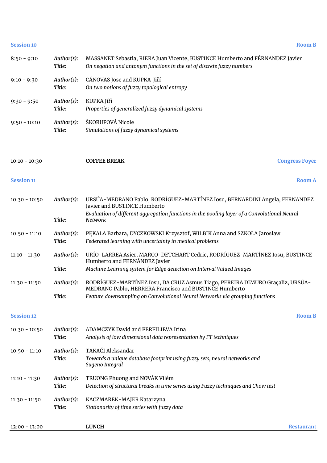**Session 10 Room B**

| $8:50 - 9:10$  | Author(s):<br>Title: | MASSANET Sebastia, RIERA Juan Vicente, BUSTINCE Humberto and FÉRNANDEZ Javier<br>On negation and antonym functions in the set of discrete fuzzy numbers |
|----------------|----------------------|---------------------------------------------------------------------------------------------------------------------------------------------------------|
| $9:10 - 9:30$  | Author(s):<br>Title: | CÁNOVAS Jose and KUPKA Jiří<br>On two notions of fuzzy topological entropy                                                                              |
| $9:30 - 9:50$  | Author(s):<br>Title: | KUPKA Jiří<br>Properties of generalized fuzzy dynamical systems                                                                                         |
| $9:50 - 10:10$ | Author(s):<br>Title: | ŠKORUPOVÁ Nicole<br>Simulations of fuzzy dynamical systems                                                                                              |

| $10:10 - 10:30$   |                      | <b>COFFEE BREAK</b>                                                                                                                     | <b>Congress Foyer</b> |
|-------------------|----------------------|-----------------------------------------------------------------------------------------------------------------------------------------|-----------------------|
|                   |                      |                                                                                                                                         |                       |
| <b>Session 11</b> |                      |                                                                                                                                         | <b>Room A</b>         |
| $10:30 - 10:50$   | Author(s):           | URSÚA-MEDRANO Pablo, RODRÍGUEZ-MARTÍNEZ Iosu, BERNARDINI Angela, FERNANDEZ<br>Javier and BUSTINCE Humberto                              |                       |
|                   | Title:               | Evaluation of different aggregation functions in the pooling layer of a Convolutional Neural<br>Network                                 |                       |
| $10:50 - 11:10$   | Author(s):<br>Title: | PEKALA Barbara, DYCZKOWSKI Krzysztof, WILBIK Anna and SZKOŁA Jarosław<br>Federated learning with uncertainty in medical problems        |                       |
| $11:10 - 11:30$   | Author(s):           | URÍO-LARREA Asier, MARCO-DETCHART Cedric, RODRÍGUEZ-MARTÍNEZ Iosu, BUSTINCE<br>Humberto and FERNÁNDEZ Javier                            |                       |
|                   | Title:               | Machine Learning system for Edge detection on Interval Valued Images                                                                    |                       |
| $11:30 - 11:50$   | Author(s):           | RODRÍGUEZ-MARTÍNEZ Iosu, DA CRUZ Asmus Tiago, PEREIRA DIMURO Graçaliz, URSÚA-<br>MEDRANO Pablo, HERRERA Francisco and BUSTINCE Humberto |                       |
|                   | Title:               | Feature downsampling on Convolutional Neural Networks via grouping functions                                                            |                       |
| <b>Session 12</b> |                      |                                                                                                                                         | <b>Room B</b>         |
| $10:30 - 10:50$   | Author(s):<br>Title: | ADAMCZYK David and PERFILIEVA Irina<br>Analysis of low dimensional data representation by FT techniques                                 |                       |
| $10:50 - 11:10$   | Author(s):<br>Title: | TAKAČI Aleksandar<br>Towards a unique database footprint using fuzzy sets, neural networks and<br>Sugeno Integral                       |                       |
| $11:10 - 11:30$   | Author(s):<br>Title: | TRUONG Phuong and NOVÁK Vilém<br>Detection of structural breaks in time series using Fuzzy techniques and Chow test                     |                       |
| $11:30 - 11:50$   | Author(s):<br>Title: | KACZMAREK-MAJER Katarzyna<br>Stationarity of time series with fuzzy data                                                                |                       |
| $12:00 - 13:00$   |                      | <b>LUNCH</b>                                                                                                                            | Restaurant            |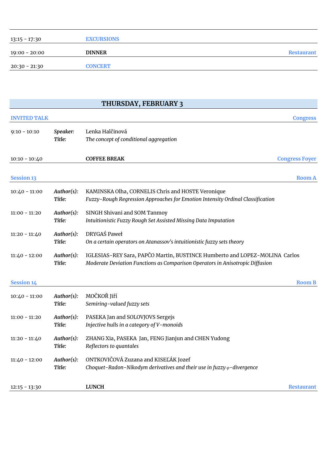| 13:15 - 17:30 | <b>EXCURSIONS</b> |            |
|---------------|-------------------|------------|
| 19:00 - 20:00 | <b>DINNER</b>     | Restaurant |
| 20:30 - 21:30 | <b>CONCERT</b>    |            |

# **THURSDAY, FEBRUARY 3**

| <b>INVITED TALK</b> |                      |                                                                                                                                                             | <b>Congress</b>       |
|---------------------|----------------------|-------------------------------------------------------------------------------------------------------------------------------------------------------------|-----------------------|
| $9:10 - 10:10$      | Speaker:<br>Title:   | Lenka Halčinová<br>The concept of conditional aggregation                                                                                                   |                       |
| $10:10 - 10:40$     |                      | <b>COFFEE BREAK</b>                                                                                                                                         | <b>Congress Foyer</b> |
| <b>Session 13</b>   |                      |                                                                                                                                                             | <b>Room A</b>         |
| $10:40 - 11:00$     | Author(s):<br>Title: | KAMINSKA Olha, CORNELIS Chris and HOSTE Veronique<br>Fuzzy-Rough Regression Approaches for Emotion Intensity Ordinal Classification                         |                       |
| $11:00 - 11:20$     | Author(s):<br>Title: | SINGH Shivani and SOM Tanmoy<br>Intuitionistic Fuzzy Rough Set Assisted Missing Data Imputation                                                             |                       |
| $11:20 - 11:40$     | Author(s):<br>Title: | DRYGAŚ Paweł<br>On a certain operators on Atanassov's intuitionistic fuzzy sets theory                                                                      |                       |
| $11:40 - 12:00$     | Author(s):<br>Title: | IGLESIAS-REY Sara, PAPČO Martin, BUSTINCE Humberto and LOPEZ-MOLINA Carlos<br>Moderate Deviation Functions as Comparison Operators in Anisotropic Diffusion |                       |
| <b>Session 14</b>   |                      |                                                                                                                                                             | <b>Room B</b>         |
| $10:40 - 11:00$     | Author(s):<br>Title: | MOČKOŘ Jiří<br>Semiring-valued fuzzy sets                                                                                                                   |                       |
| $11:00 - 11:20$     | Author(s):<br>Title: | PASEKA Jan and SOLOVJOVS Sergejs<br>Injective hulls in a category of V-monoids                                                                              |                       |
| $11:20 - 11:40$     | Author(s):<br>Title: | ZHANG Xia, PASEKA Jan, FENG Jianjun and CHEN Yudong<br>Reflectors to quantales                                                                              |                       |
| $11:40 - 12:00$     | Author(s):<br>Title: | ONTKOVIČOVÁ Zuzana and KISEĽÁK Jozef<br>Choquet-Radon-Nikodym derivatives and their use in fuzzy $\varphi$ -divergence                                      |                       |
| $12:15 - 13:30$     |                      | <b>LUNCH</b>                                                                                                                                                | Restaurant            |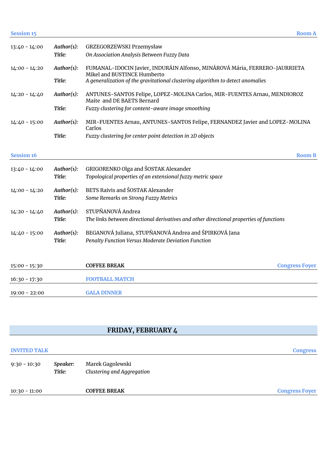| <b>Session 15</b> |            |                                                                                                           | <b>Room A</b> |
|-------------------|------------|-----------------------------------------------------------------------------------------------------------|---------------|
| $13:40 - 14:00$   | Author(s): | GRZEGORZEWSKI Przemysław                                                                                  |               |
|                   | Title:     | On Association Analysis Between Fuzzy Data                                                                |               |
| $14:00 - 14:20$   | Author(s): | FUMANAL-IDOCIN Javier, INDURÁIN Alfonso, MINÁROVÁ Mária, FERRERO-JAURRIETA<br>Mikel and BUSTINCE Humberto |               |
|                   | Title:     | A generalization of the gravitational clustering algorithm to detect anomalies                            |               |
| $14:20 - 14:40$   | Author(s): | ANTUNES-SANTOS Felipe, LOPEZ-MOLINA Carlos, MIR-FUENTES Arnau, MENDIOROZ<br>Maite and DE BAETS Bernard    |               |
|                   | Title:     | Fuzzy clustering for content-aware image smoothing                                                        |               |
| $14:40 - 15:00$   | Author(s): | MIR-FUENTES Arnau, ANTUNES-SANTOS Felipe, FERNANDEZ Javier and LOPEZ-MOLINA<br>Carlos                     |               |
|                   | Title:     | Fuzzy clustering for center point detection in 2D objects                                                 |               |
| <b>Session 16</b> |            |                                                                                                           | <b>Room B</b> |
|                   |            |                                                                                                           |               |
| $13:40 - 14:00$   | Author(s): | GRIGORENKO Olga and ŠOSTAK Alexander                                                                      |               |
|                   | Title:     | Topological properties of an extensional fuzzy metric space                                               |               |
| $14:00 - 14:20$   | Author(s): | <b>BETS Raivis and ŠOSTAK Alexander</b>                                                                   |               |
|                   | Title:     | Some Remarks on Strong Fuzzy Metrics                                                                      |               |
| $14:20 - 14:40$   | Author(s): | STUPŇANOVÁ Andrea                                                                                         |               |
|                   | Title:     | The links between directional derivatives and other directional properties of functions                   |               |
| $14:40 - 15:00$   | Author(s): | BEGANOVÁ Juliana, STUPŇANOVÁ Andrea and ŠPIRKOVÁ Jana                                                     |               |
|                   | Title:     | Penalty Function Versus Moderate Deviation Function                                                       |               |
| $15:00 - 15:30$   |            | <b>COFFEE BREAK</b><br><b>Congress Foyer</b>                                                              |               |
|                   |            |                                                                                                           |               |
| $16:30 - 17:30$   |            | <b>FOOTBALL MATCH</b>                                                                                     |               |
| $19:00 - 22:00$   |            | <b>GALA DINNER</b>                                                                                        |               |

# **FRIDAY, FEBRUARY 4**

| <b>INVITED TALK</b> |                    |                                                | <b>Congress</b>       |
|---------------------|--------------------|------------------------------------------------|-----------------------|
| $9:30 - 10:30$      | Speaker:<br>Title: | Marek Gagolewski<br>Clustering and Aggregation |                       |
| $10:30 - 11:00$     |                    | <b>COFFEE BREAK</b>                            | <b>Congress Foyer</b> |